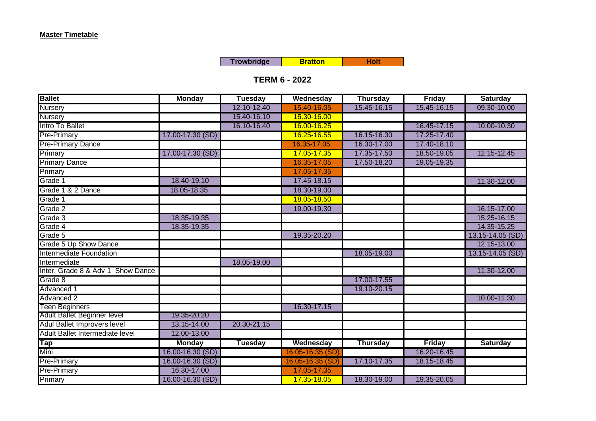**Trowbridge Holt Bratton Holt** 

## **TERM 6 - 2022**

| <b>Ballet</b>                     | <b>Monday</b>    | <b>Tuesday</b> | Wednesday        | <b>Thursday</b> | <b>Friday</b> | <b>Saturday</b>  |
|-----------------------------------|------------------|----------------|------------------|-----------------|---------------|------------------|
| <b>Nursery</b>                    |                  | 12.10-12.40    | 15.40-16.05      | 15.45-16.15     | 15.45-16.15   | 09.30-10.00      |
| <b>Nursery</b>                    |                  | 15.40-16.10    | 15.30-16.00      |                 |               |                  |
| Intro To Ballet                   |                  | 16.10-16.40    | 16.00-16.25      |                 | 16.45-17.15   | 10.00-10.30      |
| <b>Pre-Primary</b>                | 17.00-17.30 (SD) |                | 16.25-16.55      | 16.15-16.30     | 17.25-17.40   |                  |
| <b>Pre-Primary Dance</b>          |                  |                | 16.35-17.05      | 16.30-17.00     | 17.40-18.10   |                  |
| Primary                           | 17.00-17.30 (SD) |                | 17.05-17.35      | 17.35-17.50     | 18.50-19.05   | 12.15-12.45      |
| <b>Primary Dance</b>              |                  |                | 16.35-17.05      | 17.50-18.20     | 19.05-19.35   |                  |
| Primary                           |                  |                | 17.05-17.35      |                 |               |                  |
| Grade 1                           | 18.40-19.10      |                | 17.45-18.15      |                 |               | 11.30-12.00      |
| Grade 1 & 2 Dance                 | 18.05-18.35      |                | 18.30-19.00      |                 |               |                  |
| Grade 1                           |                  |                | 18.05-18.50      |                 |               |                  |
| Grade 2                           |                  |                | 19.00-19.30      |                 |               | 16.15-17.00      |
| Grade 3                           | 18.35-19.35      |                |                  |                 |               | 15.25-16.15      |
| Grade 4                           | 18.35-19.35      |                |                  |                 |               | 14.35-15.25      |
| Grade 5                           |                  |                | 19.35-20.20      |                 |               | 13.15-14.05 (SD) |
| Grade 5 Up Show Dance             |                  |                |                  |                 |               | 12.15-13.00      |
| Intermediate Foundation           |                  |                |                  | 18.05-19.00     |               | 13.15-14.05 (SD) |
| Intermediate                      |                  | 18.05-19.00    |                  |                 |               |                  |
| Inter, Grade 8 & Adv 1 Show Dance |                  |                |                  |                 |               | 11.30-12.00      |
| Grade 8                           |                  |                |                  | 17.00-17.55     |               |                  |
| Advanced 1                        |                  |                |                  | 19.10-20.15     |               |                  |
| <b>Advanced 2</b>                 |                  |                |                  |                 |               | 10.00-11.30      |
| <b>Teen Beginners</b>             |                  |                | 16.30-17.15      |                 |               |                  |
| Adult Ballet Beginner level       | 19.35-20.20      |                |                  |                 |               |                  |
| Adul Ballet Improvers level       | 13.15-14.00      | 20.30-21.15    |                  |                 |               |                  |
| Adult Ballet Intermediate level   | 12.00-13.00      |                |                  |                 |               |                  |
| Tap                               | <b>Monday</b>    | <b>Tuesday</b> | Wednesday        | <b>Thursday</b> | Friday        | <b>Saturday</b>  |
| Mini                              | 16.00-16.30 (SD) |                | 16.05-16.35 (SD) |                 | 16.20-16.45   |                  |
| <b>Pre-Primary</b>                | 16.00-16.30 (SD) |                | 16.05-16.35 (SD) | 17.10-17.35     | 18.15-18.45   |                  |
| <b>Pre-Primary</b>                | 16.30-17.00      |                | 17.05-17.35      |                 |               |                  |
| Primary                           | 16.00-16.30 (SD) |                | 17.35-18.05      | 18.30-19.00     | 19.35-20.05   |                  |